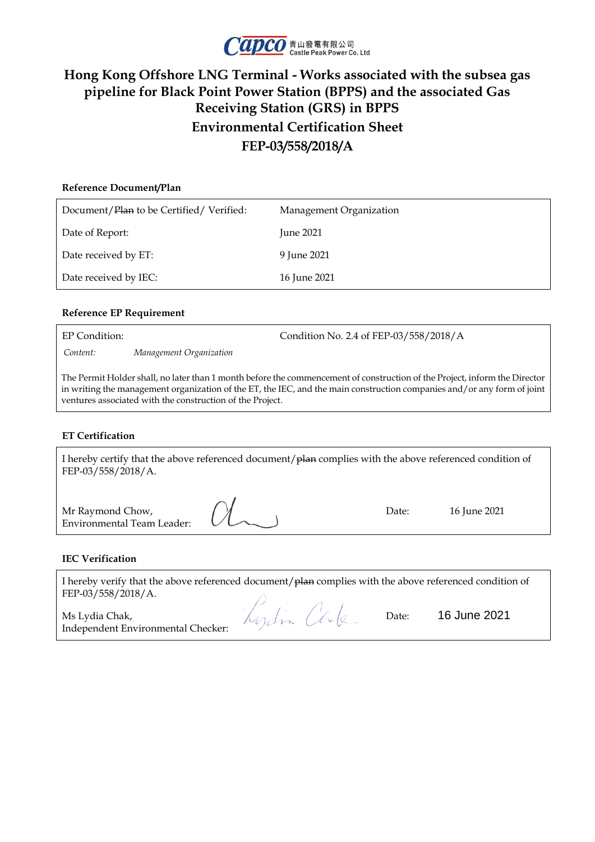

## **Hong Kong Offshore LNG Terminal - Works associated with the subsea gas pipeline for Black Point Power Station (BPPS) and the associated Gas Receiving Station (GRS) in BPPS Environmental Certification Sheet FEP-03/558/2018/A**

# **Reference Document/Plan** Document/Plan to be Certified/ Verified: Management Organization Date of Report: June 2021 Date received by ET: 9 June 2021 Date received by IEC: 16 June 2021

### **Reference EP Requirement**

EP Condition: Condition No. 2.4 of FEP-03/558/2018/A *Content: Management Organization*

The Permit Holder shall, no later than 1 month before the commencement of construction of the Project, inform the Director in writing the management organization of the ET, the IEC, and the main construction companies and/or any form of joint ventures associated with the construction of the Project.

### **ET Certification**

I hereby certify that the above referenced document/plan complies with the above referenced condition of FEP-03/558/2018/A.

| Mr Raymond Chow,<br>Environmental Team Leader: $U_{\sim}$ | Date: | 16 June 2021 |
|-----------------------------------------------------------|-------|--------------|
|                                                           |       |              |

#### **IEC Verification**

I hereby verify that the above referenced document/plan complies with the above referenced condition of FEP-03/558/2018/A.

Ms Lydia Chak, Independent Environmental Checker:

Kydin Chile

Date: 16 June 2021